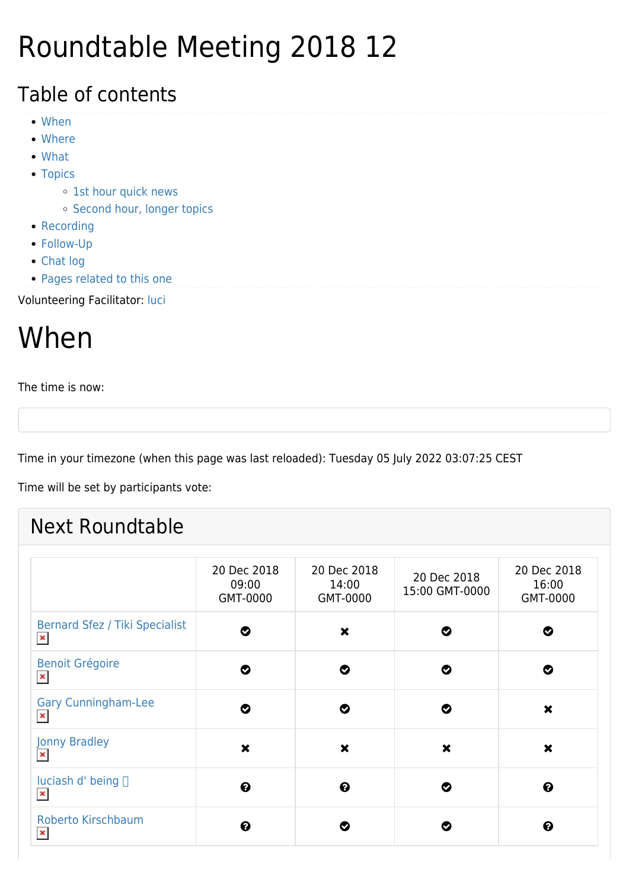## Roundtable Meeting 2018 12

#### Table of contents

- [When](#page--1-0)
- [Where](#page--1-0)
- [What](#page--1-0)
- [Topics](#page--1-0)
	- o [1st hour quick news](#page--1-0)
	- o [Second hour, longer topics](#page--1-0)
- [Recording](#page--1-0)
- [Follow-Up](#page--1-0)
- [Chat log](#page--1-0)
- [Pages related to this one](#page--1-0)

#### Volunteering Facilitator: [luci](https://tiki.org/luci)

## When

The time is now:

Time in your timezone (when this page was last reloaded): Tuesday 05 July 2022 03:07:25 CEST

Time will be set by participants vote:

#### Next Roundtable

|                                                         | 20 Dec 2018<br>09:00<br>GMT-0000 | 20 Dec 2018<br>14:00<br>GMT-0000 | 20 Dec 2018<br>15:00 GMT-0000 | 20 Dec 2018<br>16:00<br>GMT-0000 |
|---------------------------------------------------------|----------------------------------|----------------------------------|-------------------------------|----------------------------------|
| <b>Bernard Sfez / Tiki Specialist</b><br>$\pmb{\times}$ | ల                                | $\boldsymbol{\mathsf{x}}$        | Ø                             | ◔                                |
| <b>Benoit Grégoire</b><br>$\pmb{\times}$                | Ø                                | Ø                                | Ø                             | Ø                                |
| <b>Gary Cunningham-Lee</b><br>$\pmb{\times}$            | Ø                                | Ø                                | Ø                             | $\boldsymbol{\mathsf{x}}$        |
| Jonny Bradley<br>$\pmb{\times}$                         | $\boldsymbol{\mathsf{x}}$        | $\boldsymbol{\mathsf{x}}$        | $\boldsymbol{\mathsf{x}}$     | $\boldsymbol{\mathsf{x}}$        |
| luciash d' being □<br>$\pmb{\times}$                    | $\boldsymbol{\Theta}$            | $\boldsymbol{\Theta}$            | Ø                             | ❸                                |
| Roberto Kirschbaum<br>$\pmb{\times}$                    | ❷                                | Ø                                | Ø                             | ❸                                |